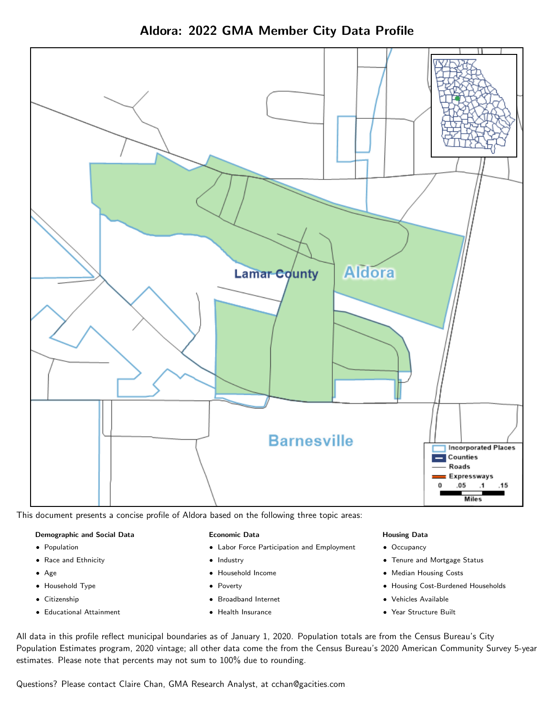Aldora: 2022 GMA Member City Data Profile



This document presents a concise profile of Aldora based on the following three topic areas:

### Demographic and Social Data

- **•** Population
- Race and Ethnicity
- Age
- Household Type
- **Citizenship**
- Educational Attainment

### Economic Data

- Labor Force Participation and Employment
- Industry
- Household Income
- Poverty
- Broadband Internet
- Health Insurance

### Housing Data

- Occupancy
- Tenure and Mortgage Status
- Median Housing Costs
- Housing Cost-Burdened Households
- Vehicles Available
- Year Structure Built

All data in this profile reflect municipal boundaries as of January 1, 2020. Population totals are from the Census Bureau's City Population Estimates program, 2020 vintage; all other data come the from the Census Bureau's 2020 American Community Survey 5-year estimates. Please note that percents may not sum to 100% due to rounding.

Questions? Please contact Claire Chan, GMA Research Analyst, at [cchan@gacities.com.](mailto:cchan@gacities.com)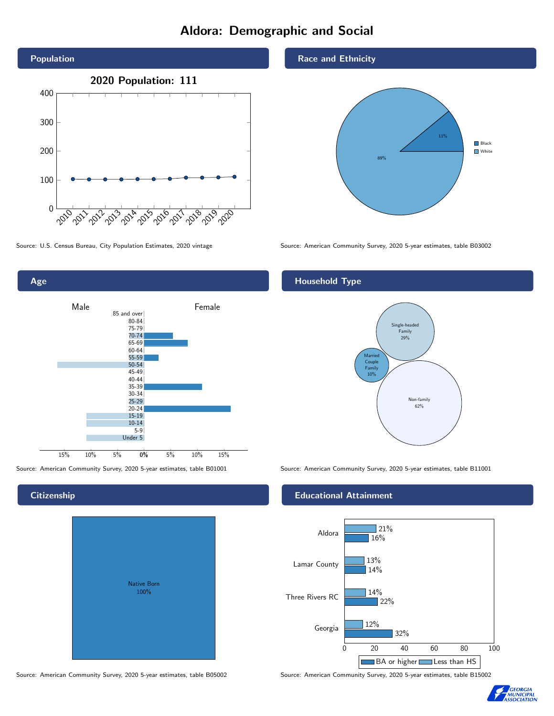# Aldora: Demographic and Social





### **Citizenship**

| <b>Native Born</b><br>100% |  |
|----------------------------|--|

Source: American Community Survey, 2020 5-year estimates, table B05002 Source: American Community Survey, 2020 5-year estimates, table B15002

### Race and Ethnicity



Source: U.S. Census Bureau, City Population Estimates, 2020 vintage Source: American Community Survey, 2020 5-year estimates, table B03002

## Household Type



Source: American Community Survey, 2020 5-year estimates, table B01001 Source: American Community Survey, 2020 5-year estimates, table B11001

### Educational Attainment



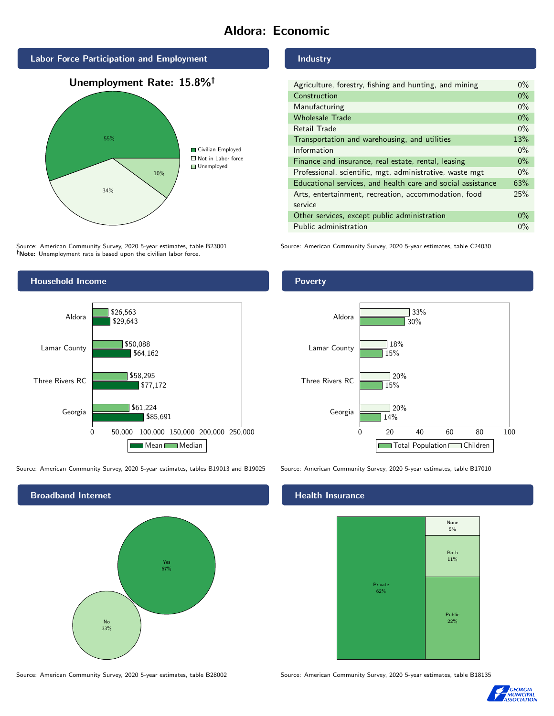# Aldora: Economic







Source: American Community Survey, 2020 5-year estimates, table B23001 Note: Unemployment rate is based upon the civilian labor force.



Source: American Community Survey, 2020 5-year estimates, tables B19013 and B19025 Source: American Community Survey, 2020 5-year estimates, table B17010



### Industry

| Agriculture, forestry, fishing and hunting, and mining      |       |
|-------------------------------------------------------------|-------|
| Construction                                                |       |
| Manufacturing                                               | $0\%$ |
| <b>Wholesale Trade</b>                                      | $0\%$ |
| Retail Trade                                                | $0\%$ |
| Transportation and warehousing, and utilities               |       |
| Information                                                 |       |
| Finance and insurance, real estate, rental, leasing         |       |
| Professional, scientific, mgt, administrative, waste mgt    |       |
| Educational services, and health care and social assistance |       |
| Arts, entertainment, recreation, accommodation, food        |       |
| service                                                     |       |
| Other services, except public administration                |       |
| Public administration                                       |       |

Source: American Community Survey, 2020 5-year estimates, table C24030

### Poverty



### **Health Insurance**



Source: American Community Survey, 2020 5-year estimates, table B28002 Source: American Community Survey, 2020 5-year estimates, table B18135